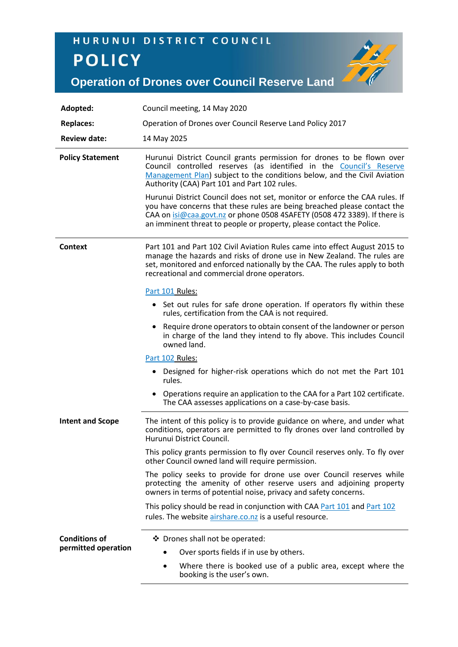## HURUNUI DISTRICT COUNCIL **POLICY**



**Operation of Drones over Council Reserve Land**

| Adopted:                                    | Council meeting, 14 May 2020                                                                                                                                                                                                                                                                                 |
|---------------------------------------------|--------------------------------------------------------------------------------------------------------------------------------------------------------------------------------------------------------------------------------------------------------------------------------------------------------------|
| <b>Replaces:</b>                            | Operation of Drones over Council Reserve Land Policy 2017                                                                                                                                                                                                                                                    |
| <b>Review date:</b>                         | 14 May 2025                                                                                                                                                                                                                                                                                                  |
| <b>Policy Statement</b>                     | Hurunui District Council grants permission for drones to be flown over<br>Council controlled reserves (as identified in the Council's Reserve<br>Management Plan) subject to the conditions below, and the Civil Aviation<br>Authority (CAA) Part 101 and Part 102 rules.                                    |
|                                             | Hurunui District Council does not set, monitor or enforce the CAA rules. If<br>you have concerns that these rules are being breached please contact the<br>CAA on isi@caa.govt.nz or phone 0508 4SAFETY (0508 472 3389). If there is<br>an imminent threat to people or property, please contact the Police. |
| <b>Context</b>                              | Part 101 and Part 102 Civil Aviation Rules came into effect August 2015 to<br>manage the hazards and risks of drone use in New Zealand. The rules are<br>set, monitored and enforced nationally by the CAA. The rules apply to both<br>recreational and commercial drone operators.                          |
|                                             | Part 101 Rules:                                                                                                                                                                                                                                                                                              |
|                                             | • Set out rules for safe drone operation. If operators fly within these<br>rules, certification from the CAA is not required.                                                                                                                                                                                |
|                                             | Require drone operators to obtain consent of the landowner or person<br>٠<br>in charge of the land they intend to fly above. This includes Council<br>owned land.                                                                                                                                            |
|                                             | Part 102 Rules:                                                                                                                                                                                                                                                                                              |
|                                             | • Designed for higher-risk operations which do not met the Part 101<br>rules.                                                                                                                                                                                                                                |
|                                             | • Operations require an application to the CAA for a Part 102 certificate.<br>The CAA assesses applications on a case-by-case basis.                                                                                                                                                                         |
| <b>Intent and Scope</b>                     | The intent of this policy is to provide guidance on where, and under what<br>conditions, operators are permitted to fly drones over land controlled by<br>Hurunui District Council.                                                                                                                          |
|                                             | This policy grants permission to fly over Council reserves only. To fly over<br>other Council owned land will require permission.                                                                                                                                                                            |
|                                             | The policy seeks to provide for drone use over Council reserves while<br>protecting the amenity of other reserve users and adjoining property<br>owners in terms of potential noise, privacy and safety concerns.                                                                                            |
|                                             | This policy should be read in conjunction with CAA Part 101 and Part 102<br>rules. The website airshare.co.nz is a useful resource.                                                                                                                                                                          |
| <b>Conditions of</b><br>permitted operation | ❖ Drones shall not be operated:                                                                                                                                                                                                                                                                              |
|                                             | Over sports fields if in use by others.                                                                                                                                                                                                                                                                      |
|                                             | Where there is booked use of a public area, except where the<br>booking is the user's own.                                                                                                                                                                                                                   |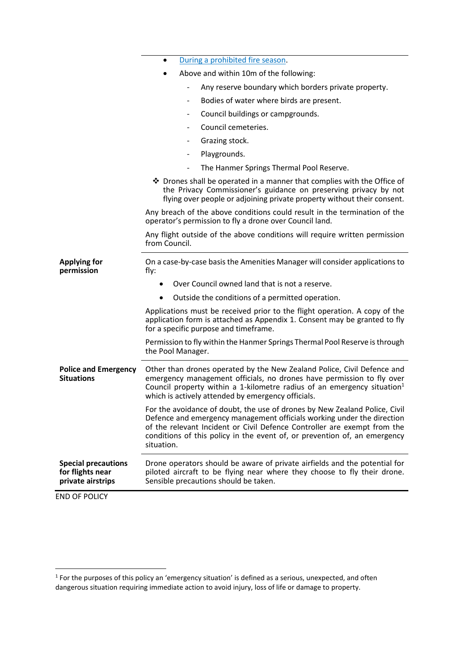|                                                                     | During a prohibited fire season.<br>$\bullet$                                                                                                                                                                                                                                                                               |
|---------------------------------------------------------------------|-----------------------------------------------------------------------------------------------------------------------------------------------------------------------------------------------------------------------------------------------------------------------------------------------------------------------------|
|                                                                     | Above and within 10m of the following:                                                                                                                                                                                                                                                                                      |
|                                                                     | Any reserve boundary which borders private property.                                                                                                                                                                                                                                                                        |
|                                                                     | Bodies of water where birds are present.                                                                                                                                                                                                                                                                                    |
|                                                                     | Council buildings or campgrounds.                                                                                                                                                                                                                                                                                           |
|                                                                     | Council cemeteries.                                                                                                                                                                                                                                                                                                         |
|                                                                     | Grazing stock.                                                                                                                                                                                                                                                                                                              |
|                                                                     | Playgrounds.<br>-                                                                                                                                                                                                                                                                                                           |
|                                                                     | The Hanmer Springs Thermal Pool Reserve.<br>$\overline{\phantom{0}}$                                                                                                                                                                                                                                                        |
|                                                                     | ❖ Drones shall be operated in a manner that complies with the Office of<br>the Privacy Commissioner's guidance on preserving privacy by not<br>flying over people or adjoining private property without their consent.                                                                                                      |
|                                                                     | Any breach of the above conditions could result in the termination of the<br>operator's permission to fly a drone over Council land.                                                                                                                                                                                        |
|                                                                     | Any flight outside of the above conditions will require written permission<br>from Council.                                                                                                                                                                                                                                 |
| <b>Applying for</b><br>permission                                   | On a case-by-case basis the Amenities Manager will consider applications to<br>fly:                                                                                                                                                                                                                                         |
|                                                                     | Over Council owned land that is not a reserve.                                                                                                                                                                                                                                                                              |
|                                                                     | Outside the conditions of a permitted operation.<br>$\bullet$                                                                                                                                                                                                                                                               |
|                                                                     | Applications must be received prior to the flight operation. A copy of the<br>application form is attached as Appendix 1. Consent may be granted to fly<br>for a specific purpose and timeframe.                                                                                                                            |
|                                                                     | Permission to fly within the Hanmer Springs Thermal Pool Reserve is through<br>the Pool Manager.                                                                                                                                                                                                                            |
| <b>Police and Emergency</b><br><b>Situations</b>                    | Other than drones operated by the New Zealand Police, Civil Defence and<br>emergency management officials, no drones have permission to fly over<br>Council property within a 1-kilometre radius of an emergency situation <sup>1</sup><br>which is actively attended by emergency officials.                               |
|                                                                     | For the avoidance of doubt, the use of drones by New Zealand Police, Civil<br>Defence and emergency management officials working under the direction<br>of the relevant Incident or Civil Defence Controller are exempt from the<br>conditions of this policy in the event of, or prevention of, an emergency<br>situation. |
| <b>Special precautions</b><br>for flights near<br>private airstrips | Drone operators should be aware of private airfields and the potential for<br>piloted aircraft to be flying near where they choose to fly their drone.<br>Sensible precautions should be taken.                                                                                                                             |
| <b>END OF POLICY</b>                                                |                                                                                                                                                                                                                                                                                                                             |

 1 For the purposes of this policy an 'emergency situation' is defined as a serious, unexpected, and often dangerous situation requiring immediate action to avoid injury, loss of life or damage to property.